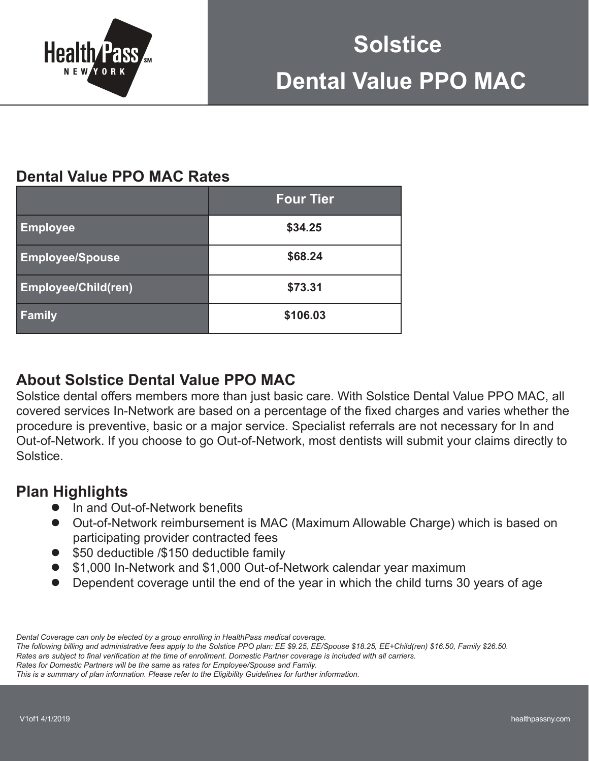

# **Dental Value PPO MAC Rates**

|                            | <b>Four Tier</b> |  |  |
|----------------------------|------------------|--|--|
| <b>Employee</b>            | \$34.25          |  |  |
| <b>Employee/Spouse</b>     | \$68.24          |  |  |
| <b>Employee/Child(ren)</b> | \$73.31          |  |  |
| Family                     | \$106.03         |  |  |

## **About Solstice Dental Value PPO MAC**

Solstice dental offers members more than just basic care. With Solstice Dental Value PPO MAC, all covered services In-Network are based on a percentage of the fixed charges and varies whether the procedure is preventive, basic or a major service. Specialist referrals are not necessary for In and Out-of-Network. If you choose to go Out-of-Network, most dentists will submit your claims directly to Solstice.

## **Plan Highlights**

- In and Out-of-Network benefits
- Out-of-Network reimbursement is MAC (Maximum Allowable Charge) which is based on participating provider contracted fees
- \$50 deductible /\$150 deductible family
- \$1,000 In-Network and \$1,000 Out-of-Network calendar year maximum
- Dependent coverage until the end of the year in which the child turns 30 years of age

*Dental Coverage can only be elected by a group enrolling in HealthPass medical coverage.*

*The following billing and administrative fees apply to the Solstice PPO plan: EE \$9.25, EE/Spouse \$18.25, EE+Child(ren) \$16.50, Family \$26.50.*

Rates are subject to final verification at the time of enrollment. Domestic Partner coverage is included with all carriers.

*Rates for Domestic Partners will be the same as rates for Employee/Spouse and Family.* 

*This is a summary of plan information. Please refer to the Eligibility Guidelines for further information.*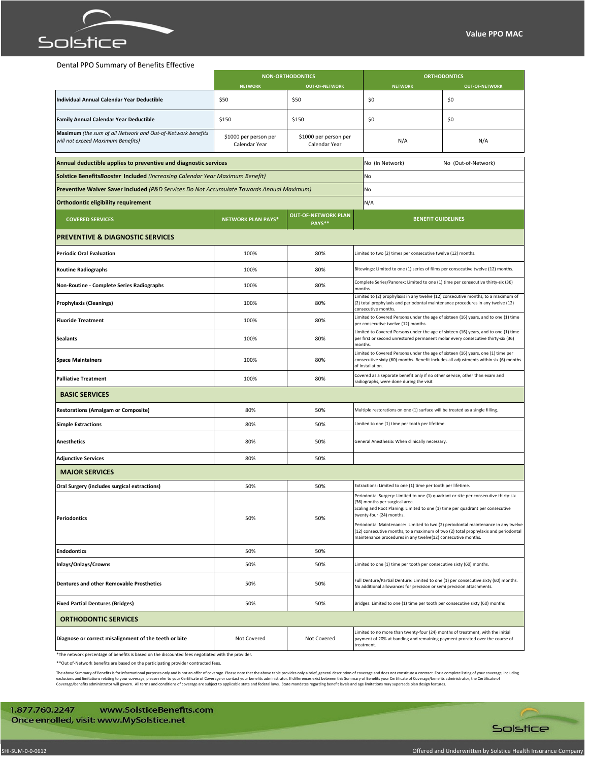

## Dental PPO Summary of Benefits Effective

|                                                                                                   | <b>NON-ORTHODONTICS</b>                |                                        |                                                                                                                                                                                                                                                                                                                                                                                                                                                                                | <b>ORTHODONTICS</b>   |  |  |
|---------------------------------------------------------------------------------------------------|----------------------------------------|----------------------------------------|--------------------------------------------------------------------------------------------------------------------------------------------------------------------------------------------------------------------------------------------------------------------------------------------------------------------------------------------------------------------------------------------------------------------------------------------------------------------------------|-----------------------|--|--|
|                                                                                                   | <b>NETWORK</b>                         | <b>OUT-OF-NETWORK</b>                  | <b>NETWORK</b>                                                                                                                                                                                                                                                                                                                                                                                                                                                                 | <b>OUT-OF-NETWORK</b> |  |  |
| Individual Annual Calendar Year Deductible                                                        | \$50                                   | \$50                                   | \$0                                                                                                                                                                                                                                                                                                                                                                                                                                                                            | \$0                   |  |  |
| <b>Family Annual Calendar Year Deductible</b>                                                     | \$150                                  | \$150                                  | \$0                                                                                                                                                                                                                                                                                                                                                                                                                                                                            | \$0                   |  |  |
| Maximum (the sum of all Network and Out-of-Network benefits<br>will not exceed Maximum Benefits)  | \$1000 per person per<br>Calendar Year | \$1000 per person per<br>Calendar Year | N/A                                                                                                                                                                                                                                                                                                                                                                                                                                                                            | N/A                   |  |  |
| Annual deductible applies to preventive and diagnostic services                                   |                                        |                                        | No (In Network)                                                                                                                                                                                                                                                                                                                                                                                                                                                                | No (Out-of-Network)   |  |  |
| <b>Solstice BenefitsBooster Included (Increasing Calendar Year Maximum Benefit)</b>               |                                        |                                        | No                                                                                                                                                                                                                                                                                                                                                                                                                                                                             |                       |  |  |
| Preventive Waiver Saver Included (P&D Services Do Not Accumulate Towards Annual Maximum)          |                                        |                                        | No                                                                                                                                                                                                                                                                                                                                                                                                                                                                             |                       |  |  |
| Orthodontic eligibility requirement                                                               |                                        |                                        | N/A                                                                                                                                                                                                                                                                                                                                                                                                                                                                            |                       |  |  |
| <b>COVERED SERVICES</b>                                                                           | <b>NETWORK PLAN PAYS*</b>              | <b>OUT-OF-NETWORK PLAN</b><br>PAYS**   | <b>BENEFIT GUIDELINES</b>                                                                                                                                                                                                                                                                                                                                                                                                                                                      |                       |  |  |
| <b>PREVENTIVE &amp; DIAGNOSTIC SERVICES</b>                                                       |                                        |                                        |                                                                                                                                                                                                                                                                                                                                                                                                                                                                                |                       |  |  |
| <b>Periodic Oral Evaluation</b>                                                                   | 100%                                   | 80%                                    | Limited to two (2) times per consecutive twelve (12) months.                                                                                                                                                                                                                                                                                                                                                                                                                   |                       |  |  |
| <b>Routine Radiographs</b>                                                                        | 100%                                   | 80%                                    | Bitewings: Limited to one (1) series of films per consecutive twelve (12) months.                                                                                                                                                                                                                                                                                                                                                                                              |                       |  |  |
| Non-Routine - Complete Series Radiographs                                                         | 100%                                   | 80%                                    | Complete Series/Panorex: Limited to one (1) time per consecutive thirty-six (36)<br>months.                                                                                                                                                                                                                                                                                                                                                                                    |                       |  |  |
| <b>Prophylaxis (Cleanings)</b>                                                                    | 100%                                   | 80%                                    | Limited to (2) prophylaxis in any twelve (12) consecutive months, to a maximum of<br>(2) total prophylaxis and periodontal maintenance procedures in any twelve (12)<br>consecutive months.                                                                                                                                                                                                                                                                                    |                       |  |  |
| <b>Fluoride Treatment</b>                                                                         | 100%                                   | 80%                                    | Limited to Covered Persons under the age of sixteen (16) years, and to one (1) time<br>per consecutive twelve (12) months.                                                                                                                                                                                                                                                                                                                                                     |                       |  |  |
| <b>Sealants</b>                                                                                   | 100%                                   | 80%                                    | Limited to Covered Persons under the age of sixteen (16) years, and to one (1) time<br>per first or second unrestored permanent molar every consecutive thirty-six (36)<br>months.                                                                                                                                                                                                                                                                                             |                       |  |  |
| <b>Space Maintainers</b>                                                                          | 100%                                   | 80%                                    | Limited to Covered Persons under the age of sixteen (16) years, one (1) time per<br>consecutive sixty (60) months. Benefit includes all adjustments within six (6) months<br>of installation.                                                                                                                                                                                                                                                                                  |                       |  |  |
| <b>Palliative Treatment</b>                                                                       | 100%                                   | 80%                                    | Covered as a separate benefit only if no other service, other than exam and<br>radiographs, were done during the visit                                                                                                                                                                                                                                                                                                                                                         |                       |  |  |
| <b>BASIC SERVICES</b>                                                                             |                                        |                                        |                                                                                                                                                                                                                                                                                                                                                                                                                                                                                |                       |  |  |
| <b>Restorations (Amalgam or Composite)</b>                                                        | 80%                                    | 50%                                    | Multiple restorations on one (1) surface will be treated as a single filling.                                                                                                                                                                                                                                                                                                                                                                                                  |                       |  |  |
| <b>Simple Extractions</b>                                                                         | 80%                                    | 50%                                    | Limited to one (1) time per tooth per lifetime.                                                                                                                                                                                                                                                                                                                                                                                                                                |                       |  |  |
| <b>Anesthetics</b>                                                                                | 80%                                    | 50%                                    | General Anesthesia: When clinically necessary.                                                                                                                                                                                                                                                                                                                                                                                                                                 |                       |  |  |
| <b>Adjunctive Services</b>                                                                        | 80%                                    | 50%                                    |                                                                                                                                                                                                                                                                                                                                                                                                                                                                                |                       |  |  |
| <b>MAJOR SERVICES</b>                                                                             |                                        |                                        |                                                                                                                                                                                                                                                                                                                                                                                                                                                                                |                       |  |  |
| Oral Surgery (includes surgical extractions)                                                      | 50%                                    | 50%                                    | Extractions: Limited to one (1) time per tooth per lifetime.                                                                                                                                                                                                                                                                                                                                                                                                                   |                       |  |  |
| <b>Periodontics</b>                                                                               | 50%                                    | 50%                                    | Periodontal Surgery: Limited to one (1) quadrant or site per consecutive thirty-six<br>(36) months per surgical area.<br>Scaling and Root Planing: Limited to one (1) time per quadrant per consecutive<br>twenty-four (24) months.<br>Periodontal Maintenance: Limited to two (2) periodontal maintenance in any twelve<br>(12) consecutive months, to a maximum of two (2) total prophylaxis and periodontal<br>maintenance procedures in any twelve(12) consecutive months. |                       |  |  |
| <b>Endodontics</b>                                                                                | 50%                                    | 50%                                    |                                                                                                                                                                                                                                                                                                                                                                                                                                                                                |                       |  |  |
| Inlays/Onlays/Crowns                                                                              | 50%                                    | 50%                                    | Limited to one (1) time per tooth per consecutive sixty (60) months.                                                                                                                                                                                                                                                                                                                                                                                                           |                       |  |  |
| <b>Dentures and other Removable Prosthetics</b>                                                   | 50%                                    | 50%                                    | Full Denture/Partial Denture: Limited to one (1) per consecutive sixty (60) months.<br>No additional allowances for precision or semi precision attachments.                                                                                                                                                                                                                                                                                                                   |                       |  |  |
| <b>Fixed Partial Dentures (Bridges)</b>                                                           | 50%                                    | 50%                                    | Bridges: Limited to one (1) time per tooth per consecutive sixty (60) months                                                                                                                                                                                                                                                                                                                                                                                                   |                       |  |  |
| <b>ORTHODONTIC SERVICES</b>                                                                       |                                        |                                        |                                                                                                                                                                                                                                                                                                                                                                                                                                                                                |                       |  |  |
| Diagnose or correct misalignment of the teeth or bite                                             | Not Covered                            | Not Covered                            | Limited to no more than twenty-four (24) months of treatment, with the initial<br>payment of 20% at banding and remaining payment prorated over the course of<br>treatment.                                                                                                                                                                                                                                                                                                    |                       |  |  |
| *The network percentage of benefits is based on the discounted fees negotiated with the provider. |                                        |                                        |                                                                                                                                                                                                                                                                                                                                                                                                                                                                                |                       |  |  |

\*\*Out of-Network benefits are based on the participating provider contracted fees.

The above Summary of Benefits is for informational purposes only and is not an offer of coverage. Please note that the above table provides only a brief, general description of coverage and does not constitute a contract.

1.877.760.2247 www.SolsticeBenefits.com Once enrolled, visit: www.MySolstice.net